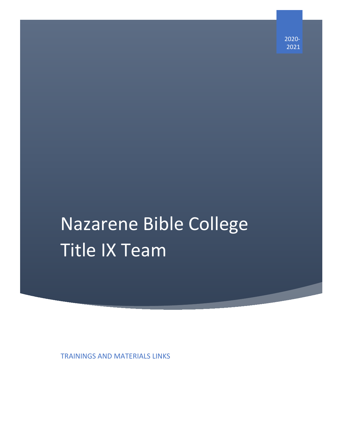2020- 2021

# Nazarene Bible College Title IX Team

TRAININGS AND MATERIALS LINKS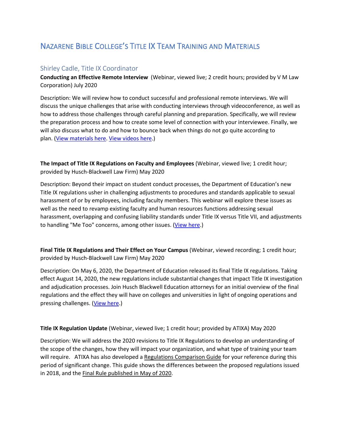# NAZARENE BIBLE COLLEGE'S TITLE IX TEAM TRAINING AND MATERIALS

### Shirley Cadle, Title IX Coordinator

**Conducting an Effective Remote Interview** (Webinar, viewed live; 2 credit hours; provided by V M Law Corporation) July 2020

Description: We will review how to conduct successful and professional remote interviews. We will discuss the unique challenges that arise with conducting interviews through videoconference, as well as how to address those challenges through careful planning and preparation. Specifically, we will review the preparation process and how to create some level of connection with your interviewee. Finally, we will also discuss what to do and how to bounce back when things do not go quite according to plan. [\(View materials here.](https://static1.squarespace.com/static/5d6075af4f1fd30001b5498d/t/5e8ca1bd657f446a4a63d8f0/1586274751677/Remote+Investigations+Checklist.pdf) [View videos](https://www.youtube.com/channel/UCwNSNIAoRC0oOGlqcN5zeSQ/featured) here.)

**The Impact of Title IX Regulations on Faculty and Employees** (Webinar, viewed live; 1 credit hour; provided by Husch-Blackwell Law Firm) May 2020

Description: Beyond their impact on student conduct processes, the Department of Education's new Title IX regulations usher in challenging adjustments to procedures and standards applicable to sexual harassment of or by employees, including faculty members. This webinar will explore these issues as well as the need to revamp existing faculty and human resources functions addressing sexual harassment, overlapping and confusing liability standards under Title IX versus Title VII, and adjustments to handling "Me Too" concerns, among other issues. [\(View here.](https://www.huschblackwell.com/newsandinsights/the-impact-of-title-ix-regulations-on-faculty-and-employees))

**Final Title IX Regulations and Their Effect on Your Campus** (Webinar, viewed recording; 1 credit hour; provided by Husch-Blackwell Law Firm) May 2020

Description: On May 6, 2020, the Department of Education released its final Title IX regulations. Taking effect August 14, 2020, the new regulations include substantial changes that impact Title IX investigation and adjudication processes. Join Husch Blackwell Education attorneys for an initial overview of the final regulations and the effect they will have on colleges and universities in light of ongoing operations and pressing challenges. [\(View here.](https://www.huschblackwell.com/newsandinsights/final-title-ix-regulations-and-their-effect-on-your-campus))

#### **Title IX Regulation Update** (Webinar, viewed live; 1 credit hour; provided by ATIXA) May 2020

Description: We will address the 2020 revisions to Title IX Regulations to develop an understanding of the scope of the changes, how they will impact your organization, and what type of training your team will require. ATIXA has also developed [a Regulations Comparison Guide](http://marketing.tngconsulting.com/jc.aspx?d=DWFDWDUAGAGML3XS4YFLLJAQSEEY4UWSNZ6INUQJOF3QFEZNZM3RIQSE3ZARWZHCZCP65EGQB4TMTBCG4IMBYTQIHQOIVMJGJV4SX45RNJLXFM22VUXMN257TYLQ%3D%3D%3D%3D&eu=UVKcLZIw12Y%2FUiz5bPvGbuzWHxi%2Fmao%2Fr85ZlXVHl5AXcLkB2mMTsPRrpRPpos9NzlhngLs%2BR6zUAt66CKRh9A%3D%3D) for your reference during this period of significant change. This guide shows the differences between the proposed regulations issued in 2018, and the [Final Rule published in May of 2020.](http://marketing.tngconsulting.com/jc.aspx?d=CXEDWDUAEAIELUN5XSNBQ4CQ4JKLUFA45D6BI2DF3S5472U63QDQMFIR55QDO5CKGH65ZINBD6EEZSBIFEDIOE4KACD4VNTMXFWHKPSW5NVLS6I357BF5LGH7MAQ%3D%3D%3D%3D&eu=5ZNbilypUpvqSZoIQ%2BnJDAUOsnc6taRrRdfaLl8oQF9UULaAaIGH3VIEXQ7AbfnmkXIcqU1f4f4n58ipuC27TJ3JrMQyEA%2FLZ4bXT3nduTBiUlsAoMbZEmCro9tAWOCebzL8jS86sNW%2FbIAEe3PZ9yo97x0Af4UdagrZvGY6UTs%3D)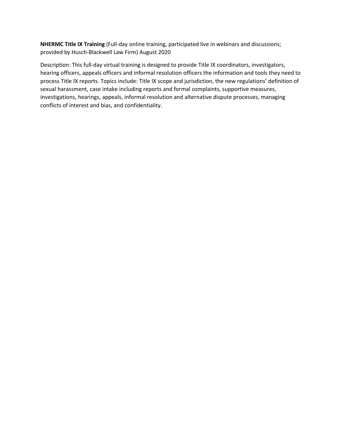**NHERMC Title IX Training** (Full-day online training, participated live in webinars and discussions; provided by Husch-Blackwell Law Firm) August 2020

Description: This full-day virtual training is designed to provide Title IX coordinators, investigators, hearing officers, appeals officers and informal resolution officers the information and tools they need to process Title IX reports. Topics include: Title IX scope and jurisdiction, the new regulations' definition of sexual harassment, case intake including reports and formal complaints, supportive measures, investigations, hearings, appeals, informal resolution and alternative dispute processes, managing conflicts of interest and bias, and confidentiality.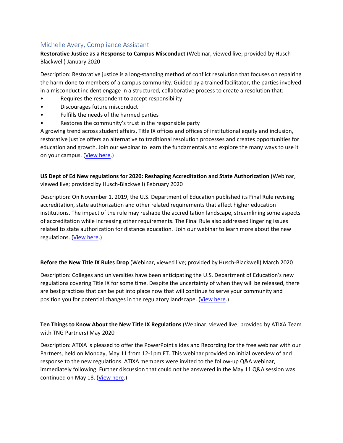## Michelle Avery, Compliance Assistant

**Restorative Justice as a Response to Campus Misconduct** (Webinar, viewed live; provided by Husch-Blackwell) January 2020

Description: Restorative justice is a long-standing method of conflict resolution that focuses on repairing the harm done to members of a campus community. Guided by a trained facilitator, the parties involved in a misconduct incident engage in a structured, collaborative process to create a resolution that:

- Requires the respondent to accept responsibility
- Discourages future misconduct
- Fulfills the needs of the harmed parties
- Restores the community's trust in the responsible party

A growing trend across student affairs, Title IX offices and offices of institutional equity and inclusion, restorative justice offers an alternative to traditional resolution processes and creates opportunities for education and growth. Join our webinar to learn the fundamentals and explore the many ways to use it on your campus. [\(View here.](https://www.huschblackwell.com/newsandinsights/restorative-justice-as-a-response-to-campus-misconduct))

**US Dept of Ed New regulations for 2020: Reshaping Accreditation and State Authorization** (Webinar, viewed live; provided by Husch-Blackwell) February 2020

Description: On November 1, 2019, the U.S. Department of Education published its Final Rule revising accreditation, state authorization and other related requirements that affect higher education institutions. The impact of the rule may reshape the accreditation landscape, streamlining some aspects of accreditation while increasing other requirements. The Final Rule also addressed lingering issues related to state authorization for distance education. Join our webinar to learn more about the new regulations. [\(View here.](https://www.huschblackwell.com/newsandinsights/us-department-of-education-new-regulations-for-2020))

**Before the New Title IX Rules Drop** (Webinar, viewed live; provided by Husch-Blackwell) March 2020

Description: Colleges and universities have been anticipating the U.S. Department of Education's new regulations covering Title IX for some time. Despite the uncertainty of when they will be released, there are best practices that can be put into place now that will continue to serve your community and position you for potential changes in the regulatory landscape. [\(View here.](https://www.huschblackwell.com/newsandinsights/before-the-new-title-ix-rules-drop))

**Ten Things to Know About the New Title IX Regulations** (Webinar, viewed live; provided by ATIXA Team with TNG Partners) May 2020

Description: ATIXA is pleased to offer the PowerPoint slides and Recording for the free webinar with our Partners, held on Monday, May 11 from 12-1pm ET. This webinar provided an initial overview of and response to the new regulations. ATIXA members were invited to the follow-up Q&A webinar, immediately following. Further discussion that could not be answered in the May 11 Q&A session was continued on May 18. [\(View here.](https://cdn.atixa.org/website-media/atixa.org/wp-content/uploads/2020/05/11155019/ATIXA-R3-Webinar-Slides_5.11.20.pdf))